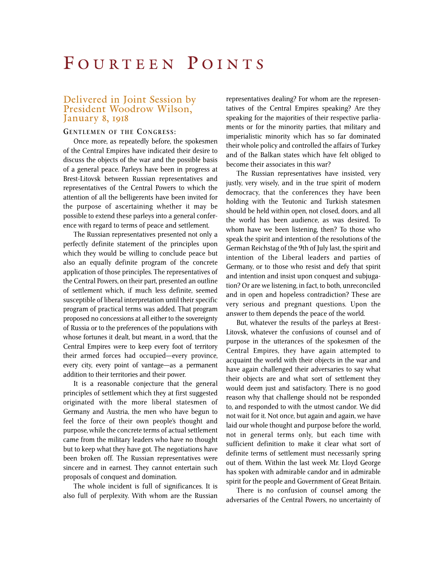## FOURTEEN POINTS

## Delivered in Joint Session by President Woodrow Wilson, January 8, 1918

## **GENTLEMEN OF THE CONGRESS :**

Once more, as repeatedly before, the spokesmen of the Central Empires have indicated their desire to discuss the objects of the war and the possible basis of a general peace. Parleys have been in progress at Brest-Litovsk between Russian representatives and representatives of the Central Powers to which the attention of all the belligerents have been invited for the purpose of ascertaining whether it may be possible to extend these parleys into a general conference with regard to terms of peace and settlement.

The Russian representatives presented not only a perfectly definite statement of the principles upon which they would be willing to conclude peace but also an equally definite program of the concrete application of those principles. The representatives of the Central Powers, on their part, presented an outline of settlement which, if much less definite, seemed susceptible of liberal interpretation until their specific program of practical terms was added. That program proposed no concessions at all either to the sovereignty of Russia or to the preferences of the populations with whose fortunes it dealt, but meant, in a word, that the Central Empires were to keep every foot of territory their armed forces had occupied—every province, every city, every point of vantage—as a permanent addition to their territories and their power.

It is a reasonable conjecture that the general principles of settlement which they at first suggested originated with the more liberal statesmen of Germany and Austria, the men who have begun to feel the force of their own people's thought and purpose, while the concrete terms of actual settlement came from the military leaders who have no thought but to keep what they have got. The negotiations have been broken off. The Russian representatives were sincere and in earnest. They cannot entertain such proposals of conquest and domination.

The whole incident is full of significances. It is also full of perplexity. With whom are the Russian

representatives dealing? For whom are the representatives of the Central Empires speaking? Are they speaking for the majorities of their respective parliaments or for the minority parties, that military and imperialistic minority which has so far dominated their whole policy and controlled the affairs of Turkey and of the Balkan states which have felt obliged to become their associates in this war?

The Russian representatives have insisted, very justly, very wisely, and in the true spirit of modern democracy, that the conferences they have been holding with the Teutonic and Turkish statesmen should be held within open, not closed, doors, and all the world has been audience, as was desired. To whom have we been listening, then? To those who speak the spirit and intention of the resolutions of the German Reichstag of the 9th of July last, the spirit and intention of the Liberal leaders and parties of Germany, or to those who resist and defy that spirit and intention and insist upon conquest and subjugation? Or are we listening, in fact, to both, unreconciled and in open and hopeless contradiction? These are very serious and pregnant questions. Upon the answer to them depends the peace of the world.

But, whatever the results of the parleys at Brest-Litovsk, whatever the confusions of counsel and of purpose in the utterances of the spokesmen of the Central Empires, they have again attempted to acquaint the world with their objects in the war and have again challenged their adversaries to say what their objects are and what sort of settlement they would deem just and satisfactory. There is no good reason why that challenge should not be responded to, and responded to with the utmost candor. We did not wait for it. Not once, but again and again, we have laid our whole thought and purpose before the world, not in general terms only, but each time with sufficient definition to make it clear what sort of definite terms of settlement must necessarily spring out of them. Within the last week Mr. Lloyd George has spoken with admirable candor and in admirable spirit for the people and Government of Great Britain.

There is no confusion of counsel among the adversaries of the Central Powers, no uncertainty of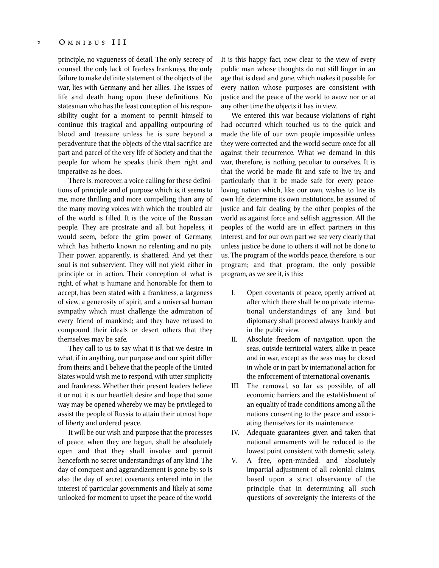principle, no vagueness of detail. The only secrecy of counsel, the only lack of fearless frankness, the only failure to make definite statement of the objects of the war, lies with Germany and her allies. The issues of life and death hang upon these definitions. No statesman who has the least conception of his responsibility ought for a moment to permit himself to continue this tragical and appalling outpouring of blood and treasure unless he is sure beyond a peradventure that the objects of the vital sacrifice are part and parcel of the very life of Society and that the people for whom he speaks think them right and imperative as he does.

There is, moreover, a voice calling for these definitions of principle and of purpose which is, it seems to me, more thrilling and more compelling than any of the many moving voices with which the troubled air of the world is filled. It is the voice of the Russian people. They are prostrate and all but hopeless, it would seem, before the grim power of Germany, which has hitherto known no relenting and no pity. Their power, apparently, is shattered. And yet their soul is not subservient. They will not yield either in principle or in action. Their conception of what is right, of what is humane and honorable for them to accept, has been stated with a frankness, a largeness of view, a generosity of spirit, and a universal human sympathy which must challenge the admiration of every friend of mankind; and they have refused to compound their ideals or desert others that they themselves may be safe.

They call to us to say what it is that we desire, in what, if in anything, our purpose and our spirit differ from theirs; and I believe that the people of the United States would wish me to respond, with utter simplicity and frankness. Whether their present leaders believe it or not, it is our heartfelt desire and hope that some way may be opened whereby we may be privileged to assist the people of Russia to attain their utmost hope of liberty and ordered peace.

It will be our wish and purpose that the processes of peace, when they are begun, shall be absolutely open and that they shall involve and permit henceforth no secret understandings of any kind. The day of conquest and aggrandizement is gone by; so is also the day of secret covenants entered into in the interest of particular governments and likely at some unlooked-for moment to upset the peace of the world. It is this happy fact, now clear to the view of every public man whose thoughts do not still linger in an age that is dead and gone, which makes it possible for every nation whose purposes are consistent with justice and the peace of the world to avow nor or at any other time the objects it has in view.

We entered this war because violations of right had occurred which touched us to the quick and made the life of our own people impossible unless they were corrected and the world secure once for all against their recurrence. What we demand in this war, therefore, is nothing peculiar to ourselves. It is that the world be made fit and safe to live in; and particularly that it be made safe for every peaceloving nation which, like our own, wishes to live its own life, determine its own institutions, be assured of justice and fair dealing by the other peoples of the world as against force and selfish aggression. All the peoples of the world are in effect partners in this interest, and for our own part we see very clearly that unless justice be done to others it will not be done to us. The program of the world's peace, therefore, is our program; and that program, the only possible program, as we see it, is this:

- I. Open covenants of peace, openly arrived at, after which there shall be no private international understandings of any kind but diplomacy shall proceed always frankly and in the public view.
- II. Absolute freedom of navigation upon the seas, outside territorial waters, alike in peace and in war, except as the seas may be closed in whole or in part by international action for the enforcement of international covenants.
- III. The removal, so far as possible, of all economic barriers and the establishment of an equality of trade conditions among all the nations consenting to the peace and associating themselves for its maintenance.
- IV. Adequate guarantees given and taken that national armaments will be reduced to the lowest point consistent with domestic safety.
- V. A free, open-minded, and absolutely impartial adjustment of all colonial claims, based upon a strict observance of the principle that in determining all such questions of sovereignty the interests of the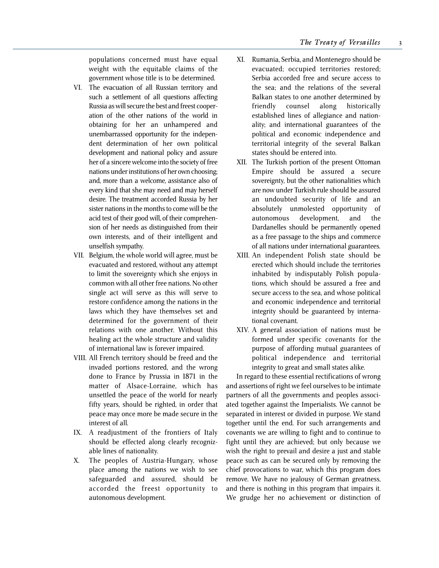populations concerned must have equal weight with the equitable claims of the government whose title is to be determined.

- VI. The evacuation of all Russian territory and such a settlement of all questions affecting Russia as will secure the best and freest cooperation of the other nations of the world in obtaining for her an unhampered and unembarrassed opportunity for the independent determination of her own political development and national policy and assure her of a sincere welcome into the society of free nations under institutions of her own choosing; and, more than a welcome, assistance also of every kind that she may need and may herself desire. The treatment accorded Russia by her sister nations in the months to come will be the acid test of their good will, of their comprehension of her needs as distinguished from their own interests, and of their intelligent and unselfish sympathy.
- VII. Belgium, the whole world will agree, must be evacuated and restored, without any attempt to limit the sovereignty which she enjoys in common with all other free nations. No other single act will serve as this will serve to restore confidence among the nations in the laws which they have themselves set and determined for the government of their relations with one another. Without this healing act the whole structure and validity of international law is forever impaired.
- VIII. All French territory should be freed and the invaded portions restored, and the wrong done to France by Prussia in 1871 in the matter of Alsace-Lorraine, which has unsettled the peace of the world for nearly fifty years, should be righted, in order that peace may once more be made secure in the interest of all.
- IX. A readjustment of the frontiers of Italy should be effected along clearly recognizable lines of nationality.
- X. The peoples of Austria-Hungary, whose place among the nations we wish to see safeguarded and assured, should be accorded the freest opportunity to autonomous development.
- XI. Rumania, Serbia, and Montenegro should be evacuated; occupied territories restored; Serbia accorded free and secure access to the sea; and the relations of the several Balkan states to one another determined by friendly counsel along historically established lines of allegiance and nationality; and international guarantees of the political and economic independence and territorial integrity of the several Balkan states should be entered into.
- XII. The Turkish portion of the present Ottoman Empire should be assured a secure sovereignty, but the other nationalities which are now under Turkish rule should be assured an undoubted security of life and an absolutely unmolested opportunity of autonomous development, and the Dardanelles should be permanently opened as a free passage to the ships and commerce of all nations under international guarantees.
- XIII. An independent Polish state should be erected which should include the territories inhabited by indisputably Polish populations, which should be assured a free and secure access to the sea, and whose political and economic independence and territorial integrity should be guaranteed by international covenant.
- XIV. A general association of nations must be formed under specific covenants for the purpose of affording mutual guarantees of political independence and territorial integrity to great and small states alike.

In regard to these essential rectifications of wrong and assertions of right we feel ourselves to be intimate partners of all the governments and peoples associated together against the Imperialists. We cannot be separated in interest or divided in purpose. We stand together until the end. For such arrangements and covenants we are willing to fight and to continue to fight until they are achieved; but only because we wish the right to prevail and desire a just and stable peace such as can be secured only by removing the chief provocations to war, which this program does remove. We have no jealousy of German greatness, and there is nothing in this program that impairs it. We grudge her no achievement or distinction of